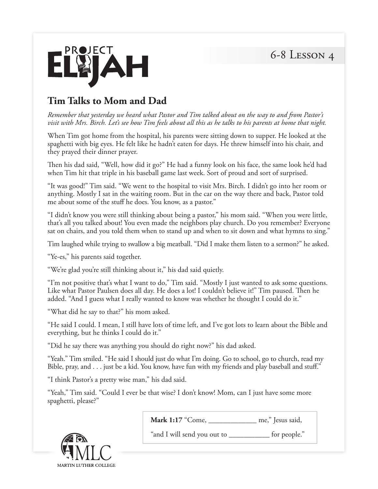6-8 Lesson 4



## **Tim Talks to Mom and Dad**

*Remember that yesterday we heard what Pastor and Tim talked about on the way to and from Pastor's visit with Mrs. Birch. Let's see how Tim feels about all this as he talks to his parents at home that night.* 

When Tim got home from the hospital, his parents were sitting down to supper. He looked at the spaghetti with big eyes. He felt like he hadn't eaten for days. He threw himself into his chair, and they prayed their dinner prayer.

Then his dad said, "Well, how did it go?" He had a funny look on his face, the same look he'd had when Tim hit that triple in his baseball game last week. Sort of proud and sort of surprised.

"It was good!" Tim said. "We went to the hospital to visit Mrs. Birch. I didn't go into her room or anything. Mostly I sat in the waiting room. But in the car on the way there and back, Pastor told me about some of the stuff he does. You know, as a pastor."

"I didn't know you were still thinking about being a pastor," his mom said. "When you were little, that's all you talked about! You even made the neighbors play church. Do you remember? Everyone sat on chairs, and you told them when to stand up and when to sit down and what hymns to sing."

Tim laughed while trying to swallow a big meatball. "Did I make them listen to a sermon?" he asked.

"Ye-es," his parents said together.

"We're glad you're still thinking about it," his dad said quietly.

"I'm not positive that's what I want to do," Tim said. "Mostly I just wanted to ask some questions. Like what Pastor Paulsen does all day. He does a lot! I couldn't believe it!" Tim paused. Then he added. "And I guess what I really wanted to know was whether he thought I could do it."

"What did he say to that?" his mom asked.

"He said I could. I mean, I still have lots of time left, and I've got lots to learn about the Bible and everything, but he thinks I could do it."

"Did he say there was anything you should do right now?" his dad asked.

"Yeah." Tim smiled. "He said I should just do what I'm doing. Go to school, go to church, read my Bible, pray, and . . . just be a kid. You know, have fun with my friends and play baseball and stuff."

"I think Pastor's a pretty wise man," his dad said.

"Yeah," Tim said. "Could I ever be that wise? I don't know! Mom, can I just have some more spaghetti, please?"

**Mark 1:17** "Come, \_\_\_\_\_\_\_\_\_\_\_\_\_ me," Jesus said,

MARTIN LUTHER COLLEGE

"and I will send you out to \_\_\_\_\_\_\_\_\_\_\_ for people."